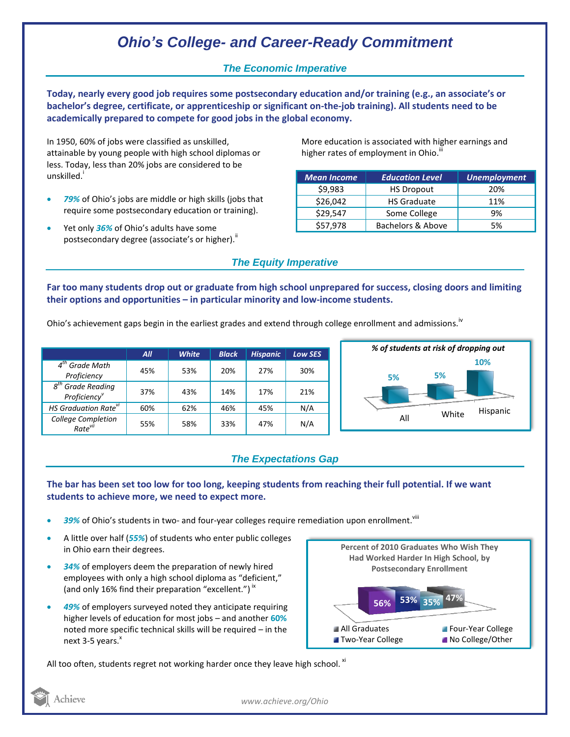# *Ohio's College- and Career-Ready Commitment*

## *The Economic Imperative*

**Today, nearly every good job requires some postsecondary education and/or training (e.g., an associate's or bachelor's degree, certificate, or apprenticeship or significant on-the-job training). All students need to be academically prepared to compete for good jobs in the global economy.**

In 1950, 60% of jobs were classified as unskilled, attainable by young people with high school diplomas or less. Today, less than 20% jobs are considered to be unskilled.<sup>i</sup>

- *79%* of Ohio's jobs are middle or high skills (jobs that require some postsecondary education or training).
- Yet only *36%* of Ohio's adults have some postsecondary degree (associate's or higher)."

More education is associated with higher earnings and higher rates of employment in Ohio.<sup>iii</sup>

| <b>Mean Income</b> | <b>Education Level</b> | <b>Unemployment</b> |
|--------------------|------------------------|---------------------|
| \$9,983            | <b>HS Dropout</b>      | 20%                 |
| \$26,042           | <b>HS Graduate</b>     | 11%                 |
| \$29,547           | Some College           | 9%                  |
| \$57,978           | Bachelors & Above      | 5%                  |

### *The Equity Imperative*

**Far too many students drop out or graduate from high school unprepared for success, closing doors and limiting their options and opportunities – in particular minority and low-income students.** 

Ohio's achievement gaps begin in the earliest grades and extend through college enrollment and admissions.<sup>iv</sup>

|                                                 | All | <b>White</b> | <b>Black</b> | <b>Hispanic</b> | <b>Low SES</b> |
|-------------------------------------------------|-----|--------------|--------------|-----------------|----------------|
| $4th$ Grade Math<br>Proficiency                 | 45% | 53%          | 20%          | 27%             | 30%            |
| $8th$ Grade Reading<br>Proficiency <sup>v</sup> | 37% | 43%          | 14%          | 17%             | 21%            |
| HS Graduation Rate <sup>vi</sup>                | 60% | 62%          | 46%          | 45%             | N/A            |
| College Completion<br>Rate <sup>vii</sup>       | 55% | 58%          | 33%          | 47%             | N/A            |



## *The Expectations Gap*

#### **The bar has been set too low for too long, keeping students from reaching their full potential. If we want students to achieve more, we need to expect more.**

- 39% of Ohio's students in two- and four-year colleges require remediation upon enrollment.<sup>viii</sup>
- A little over half (*55%*) of students who enter public colleges in Ohio earn their degrees.
- *34%* of employers deem the preparation of newly hired employees with only a high school diploma as "deficient," (and only 16% find their preparation "excellent.")<sup>ix</sup>
- *49%* of employers surveyed noted they anticipate requiring higher levels of education for most jobs – and another **60%** noted more specific technical skills will be required – in the next  $3-5$  years. $^{x}$



All too often, students regret not working harder once they leave high school.  $x_i$ 

*www.achieve.org/Ohio*